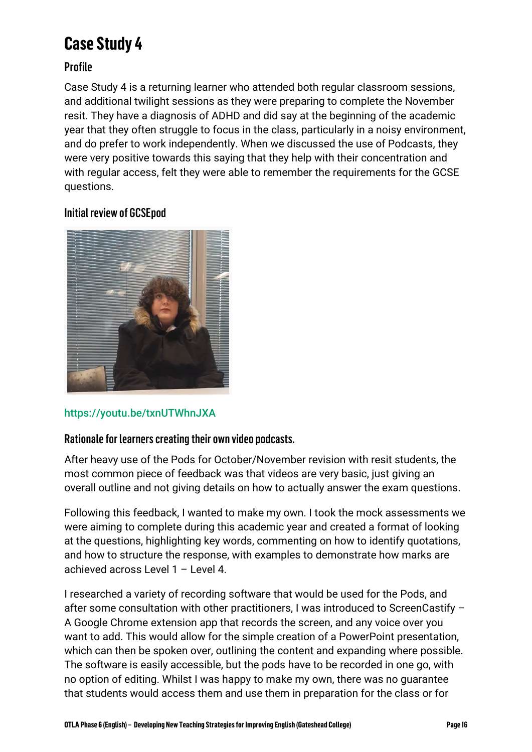# **Case Study 4**

## Profile

Case Study 4 is a returning learner who attended both regular classroom sessions, and additional twilight sessions as they were preparing to complete the November resit. They have a diagnosis of ADHD and did say at the beginning of the academic year that they often struggle to focus in the class, particularly in a noisy environment, and do prefer to work independently. When we discussed the use of Podcasts, they were very positive towards this saying that they help with their concentration and with regular access, felt they were able to remember the requirements for the GCSE questions.

## Initial review of GCSEpod



## <https://youtu.be/txnUTWhnJXA>

#### Rationale for learners creating their own video podcasts.

After heavy use of the Pods for October/November revision with resit students, the most common piece of feedback was that videos are very basic, just giving an overall outline and not giving details on how to actually answer the exam questions.

Following this feedback, I wanted to make my own. I took the mock assessments we were aiming to complete during this academic year and created a format of looking at the questions, highlighting key words, commenting on how to identify quotations, and how to structure the response, with examples to demonstrate how marks are achieved across Level 1 – Level 4.

I researched a variety of recording software that would be used for the Pods, and after some consultation with other practitioners, I was introduced to ScreenCastify – A Google Chrome extension app that records the screen, and any voice over you want to add. This would allow for the simple creation of a PowerPoint presentation, which can then be spoken over, outlining the content and expanding where possible. The software is easily accessible, but the pods have to be recorded in one go, with no option of editing. Whilst I was happy to make my own, there was no guarantee that students would access them and use them in preparation for the class or for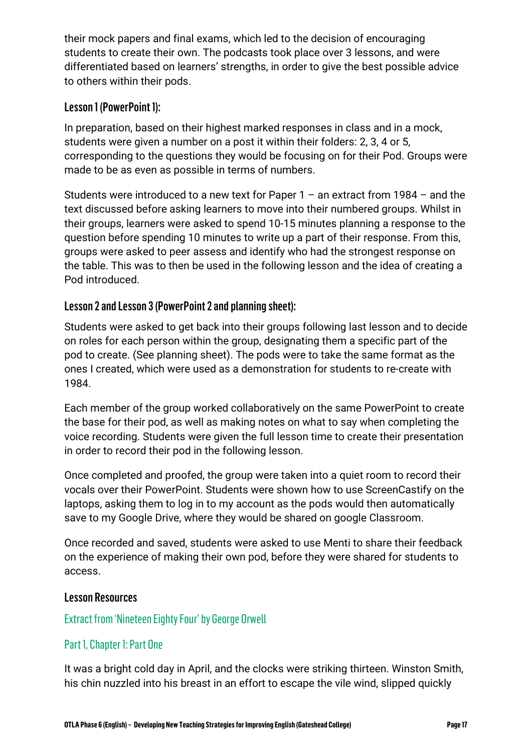their mock papers and final exams, which led to the decision of encouraging students to create their own. The podcasts took place over 3 lessons, and were differentiated based on learners' strengths, in order to give the best possible advice to others within their pods.

#### Lesson 1 (PowerPoint 1):

In preparation, based on their highest marked responses in class and in a mock, students were given a number on a post it within their folders: 2, 3, 4 or 5, corresponding to the questions they would be focusing on for their Pod. Groups were made to be as even as possible in terms of numbers.

Students were introduced to a new text for Paper 1 – an extract from 1984 – and the text discussed before asking learners to move into their numbered groups. Whilst in their groups, learners were asked to spend 10-15 minutes planning a response to the question before spending 10 minutes to write up a part of their response. From this, groups were asked to peer assess and identify who had the strongest response on the table. This was to then be used in the following lesson and the idea of creating a Pod introduced.

## Lesson 2 and Lesson 3 (PowerPoint 2 and planning sheet):

Students were asked to get back into their groups following last lesson and to decide on roles for each person within the group, designating them a specific part of the pod to create. (See planning sheet). The pods were to take the same format as the ones I created, which were used as a demonstration for students to re-create with 1984.

Each member of the group worked collaboratively on the same PowerPoint to create the base for their pod, as well as making notes on what to say when completing the voice recording. Students were given the full lesson time to create their presentation in order to record their pod in the following lesson.

Once completed and proofed, the group were taken into a quiet room to record their vocals over their PowerPoint. Students were shown how to use ScreenCastify on the laptops, asking them to log in to my account as the pods would then automatically save to my Google Drive, where they would be shared on google Classroom.

Once recorded and saved, students were asked to use Menti to share their feedback on the experience of making their own pod, before they were shared for students to access.

#### Lesson Resources

#### Extract from 'Nineteen Eighty Four' by George Orwell

#### Part 1, Chapter 1: Part One

It was a bright cold day in April, and the clocks were striking thirteen. Winston Smith, his chin nuzzled into his breast in an effort to escape the vile wind, slipped quickly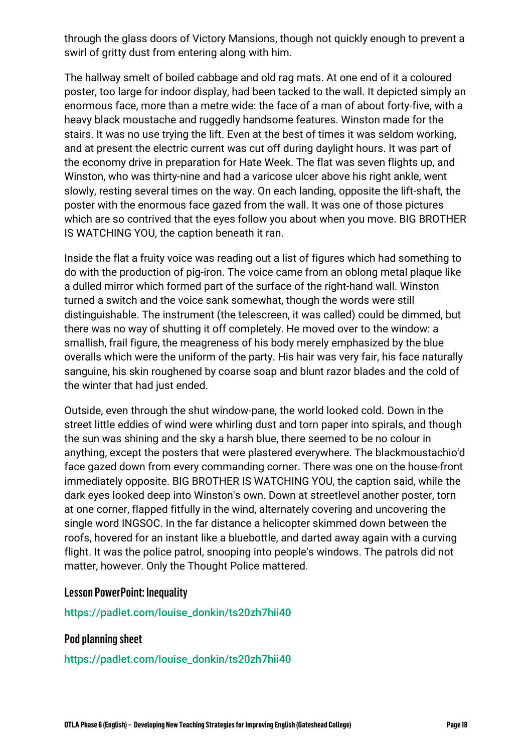through the glass doors of Victory Mansions, though not quickly enough to prevent a swirl of gritty dust from entering along with him.

The hallway smelt of boiled cabbage and old rag mats. At one end of it a coloured poster, too large for indoor display, had been tacked to the wall. It depicted simply an enormous face, more than a metre wide: the face of a man of about forty-five, with a heavy black moustache and ruggedly handsome features. Winston made for the stairs. It was no use trying the lift. Even at the best of times it was seldom working, and at present the electric current was cut off during daylight hours. It was part of the economy drive in preparation for Hate Week. The flat was seven flights up, and Winston, who was thirty-nine and had a varicose ulcer above his right ankle, went slowly, resting several times on the way. On each landing, opposite the lift-shaft, the poster with the enormous face gazed from the wall. It was one of those pictures which are so contrived that the eyes follow you about when you move. BIG BROTHER IS WATCHING YOU, the caption beneath it ran.

Inside the flat a fruity voice was reading out a list of figures which had something to do with the production of pig-iron. The voice came from an oblong metal plaque like a dulled mirror which formed part of the surface of the right-hand wall. Winston turned a switch and the voice sank somewhat, though the words were still distinguishable. The instrument (the telescreen, it was called) could be dimmed, but there was no way of shutting it off completely. He moved over to the window: a smallish, frail figure, the meagreness of his body merely emphasized by the blue overalls which were the uniform of the party. His hair was very fair, his face naturally sanguine, his skin roughened by coarse soap and blunt razor blades and the cold of the winter that had just ended.

Outside, even through the shut window-pane, the world looked cold. Down in the street little eddies of wind were whirling dust and torn paper into spirals, and though the sun was shining and the sky a harsh blue, there seemed to be no colour in anything, except the posters that were plastered everywhere. The blackmoustachio'd face gazed down from every commanding corner. There was one on the house-front immediately opposite. BIG BROTHER IS WATCHING YOU, the caption said, while the dark eyes looked deep into Winston's own. Down at streetlevel another poster, torn at one corner, flapped fitfully in the wind, alternately covering and uncovering the single word INGSOC. In the far distance a helicopter skimmed down between the roofs, hovered for an instant like a bluebottle, and darted away again with a curving flight. It was the police patrol, snooping into people's windows. The patrols did not matter, however. Only the Thought Police mattered.

#### Lesson PowerPoint: Inequality

[https://padlet.com/louise\\_donkin/ts20zh7hii40](https://padlet.com/louise_donkin/ts20zh7hii40)

#### Pod planning sheet

[https://padlet.com/louise\\_donkin/ts20zh7hii40](https://padlet.com/louise_donkin/ts20zh7hii40)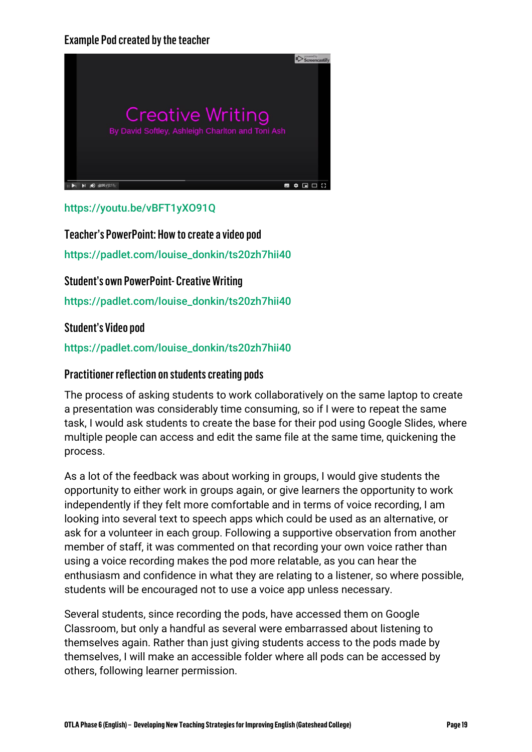

<https://youtu.be/vBFT1yXO91Q>

Teacher's PowerPoint: How to create a video pod [https://padlet.com/louise\\_donkin/ts20zh7hii40](https://padlet.com/louise_donkin/ts20zh7hii40)

Student's own PowerPoint- Creative Writing

[https://padlet.com/louise\\_donkin/ts20zh7hii40](https://padlet.com/louise_donkin/ts20zh7hii40)

#### Student's Video pod

[https://padlet.com/louise\\_donkin/ts20zh7hii40](https://padlet.com/louise_donkin/ts20zh7hii40)

#### Practitioner reflection on students creating pods

The process of asking students to work collaboratively on the same laptop to create a presentation was considerably time consuming, so if I were to repeat the same task, I would ask students to create the base for their pod using Google Slides, where multiple people can access and edit the same file at the same time, quickening the process.

As a lot of the feedback was about working in groups, I would give students the opportunity to either work in groups again, or give learners the opportunity to work independently if they felt more comfortable and in terms of voice recording, I am looking into several text to speech apps which could be used as an alternative, or ask for a volunteer in each group. Following a supportive observation from another member of staff, it was commented on that recording your own voice rather than using a voice recording makes the pod more relatable, as you can hear the enthusiasm and confidence in what they are relating to a listener, so where possible, students will be encouraged not to use a voice app unless necessary.

Several students, since recording the pods, have accessed them on Google Classroom, but only a handful as several were embarrassed about listening to themselves again. Rather than just giving students access to the pods made by themselves, I will make an accessible folder where all pods can be accessed by others, following learner permission.